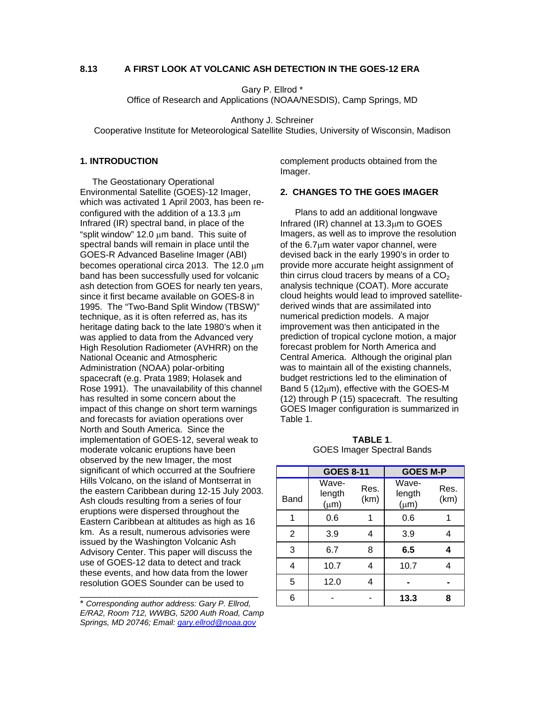## **8.13 A FIRST LOOK AT VOLCANIC ASH DETECTION IN THE GOES-12 ERA**

Gary P. Ellrod \*

Office of Research and Applications (NOAA/NESDIS), Camp Springs, MD

Anthony J. Schreiner

Cooperative Institute for Meteorological Satellite Studies, University of Wisconsin, Madison

# **1. INTRODUCTION**

 The Geostationary Operational Environmental Satellite (GOES)-12 Imager, which was activated 1 April 2003, has been reconfigured with the addition of a 13.3  $\mu$ m Infrared (IR) spectral band, in place of the "split window" 12.0 µm band. This suite of spectral bands will remain in place until the GOES-R Advanced Baseline Imager (ABI) becomes operational circa 2013. The 12.0 µm band has been successfully used for volcanic ash detection from GOES for nearly ten years, since it first became available on GOES-8 in 1995. The "Two-Band Split Window (TBSW)" technique, as it is often referred as, has its heritage dating back to the late 1980's when it was applied to data from the Advanced very High Resolution Radiometer (AVHRR) on the National Oceanic and Atmospheric Administration (NOAA) polar-orbiting spacecraft (e.g. Prata 1989; Holasek and Rose 1991). The unavailability of this channel has resulted in some concern about the impact of this change on short term warnings and forecasts for aviation operations over North and South America. Since the implementation of GOES-12, several weak to moderate volcanic eruptions have been observed by the new Imager, the most significant of which occurred at the Soufriere Hills Volcano, on the island of Montserrat in the eastern Caribbean during 12-15 July 2003. Ash clouds resulting from a series of four eruptions were dispersed throughout the Eastern Caribbean at altitudes as high as 16 km. As a result, numerous advisories were issued by the Washington Volcanic Ash Advisory Center. This paper will discuss the use of GOES-12 data to detect and track these events, and how data from the lower resolution GOES Sounder can be used to

\* *Corresponding author address: Gary P. Ellrod, E/RA2, Room 712, WWBG, 5200 Auth Road, Camp Springs, MD 20746; Email: [gary.ellrod@noaa.gov](mailto:gary.ellrod@noaa.gov)* 

\_\_\_\_\_\_\_\_\_\_\_\_\_\_\_\_\_\_\_\_\_\_\_\_\_\_\_\_\_\_\_\_\_\_\_\_

complement products obtained from the Imager.

# **2. CHANGES TO THE GOES IMAGER**

 Plans to add an additional longwave Infrared (IR) channel at 13.3µm to GOES Imagers, as well as to improve the resolution of the 6.7µm water vapor channel, were devised back in the early 1990's in order to provide more accurate height assignment of thin cirrus cloud tracers by means of a  $CO<sub>2</sub>$ analysis technique (COAT). More accurate cloud heights would lead to improved satellitederived winds that are assimilated into numerical prediction models. A major improvement was then anticipated in the prediction of tropical cyclone motion, a major forecast problem for North America and Central America. Although the original plan was to maintain all of the existing channels, budget restrictions led to the elimination of Band 5 ( $12\mu$ m), effective with the GOES-M (12) through P (15) spacecraft. The resulting GOES Imager configuration is summarized in Table 1.

|      | <b>GOES 8-11</b>             |              | <b>GOES M-P</b>              |              |
|------|------------------------------|--------------|------------------------------|--------------|
| Band | Wave-<br>length<br>$(\mu m)$ | Res.<br>(km) | Wave-<br>length<br>$(\mu m)$ | Res.<br>(km) |
| 1    | 0.6                          |              | 0.6                          |              |
| 2    | 3.9                          | 4            | 3.9                          | 4            |
| 3    | 6.7                          | 8            | 6.5                          | 4            |
| 4    | 10.7                         | 4            | 10.7                         | 4            |
| 5    | 12.0                         | 4            |                              |              |
| 6    |                              |              | 13.3                         | 8            |

**TABLE 1**. GOES Imager Spectral Bands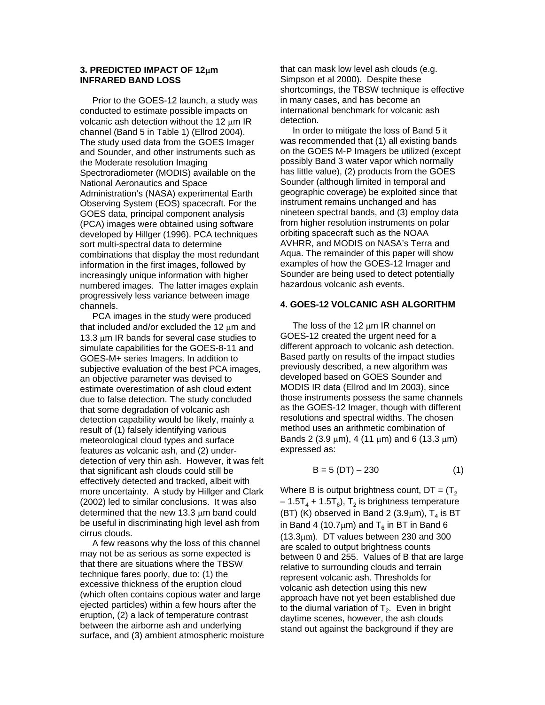## **3. PREDICTED IMPACT OF 12**µ**m INFRARED BAND LOSS**

 Prior to the GOES-12 launch, a study was conducted to estimate possible impacts on volcanic ash detection without the 12  $\mu$ m IR channel (Band 5 in Table 1) (Ellrod 2004). The study used data from the GOES Imager and Sounder, and other instruments such as the Moderate resolution Imaging Spectroradiometer (MODIS) available on the National Aeronautics and Space Administration's (NASA) experimental Earth Observing System (EOS) spacecraft. For the GOES data, principal component analysis (PCA) images were obtained using software developed by Hillger (1996). PCA techniques sort multi-spectral data to determine combinations that display the most redundant information in the first images, followed by increasingly unique information with higher numbered images. The latter images explain progressively less variance between image channels.

 PCA images in the study were produced that included and/or excluded the 12  $\mu$ m and 13.3 µm IR bands for several case studies to simulate capabilities for the GOES-8-11 and GOES-M+ series Imagers. In addition to subjective evaluation of the best PCA images, an objective parameter was devised to estimate overestimation of ash cloud extent due to false detection. The study concluded that some degradation of volcanic ash detection capability would be likely, mainly a result of (1) falsely identifying various meteorological cloud types and surface features as volcanic ash, and (2) underdetection of very thin ash. However, it was felt that significant ash clouds could still be effectively detected and tracked, albeit with more uncertainty. A study by Hillger and Clark (2002) led to similar conclusions. It was also determined that the new 13.3 µm band could be useful in discriminating high level ash from cirrus clouds.

 A few reasons why the loss of this channel may not be as serious as some expected is that there are situations where the TBSW technique fares poorly, due to: (1) the excessive thickness of the eruption cloud (which often contains copious water and large ejected particles) within a few hours after the eruption, (2) a lack of temperature contrast between the airborne ash and underlying surface, and (3) ambient atmospheric moisture that can mask low level ash clouds (e.g. Simpson et al 2000). Despite these shortcomings, the TBSW technique is effective in many cases, and has become an international benchmark for volcanic ash detection.

 In order to mitigate the loss of Band 5 it was recommended that (1) all existing bands on the GOES M-P Imagers be utilized (except possibly Band 3 water vapor which normally has little value), (2) products from the GOES Sounder (although limited in temporal and geographic coverage) be exploited since that instrument remains unchanged and has nineteen spectral bands, and (3) employ data from higher resolution instruments on polar orbiting spacecraft such as the NOAA AVHRR, and MODIS on NASA's Terra and Aqua. The remainder of this paper will show examples of how the GOES-12 Imager and Sounder are being used to detect potentially hazardous volcanic ash events.

## **4. GOES-12 VOLCANIC ASH ALGORITHM**

The loss of the 12  $\mu$ m IR channel on GOES-12 created the urgent need for a different approach to volcanic ash detection. Based partly on results of the impact studies previously described, a new algorithm was developed based on GOES Sounder and MODIS IR data (Ellrod and Im 2003), since those instruments possess the same channels as the GOES-12 Imager, though with different resolutions and spectral widths. The chosen method uses an arithmetic combination of Bands 2 (3.9  $\mu$ m), 4 (11  $\mu$ m) and 6 (13.3  $\mu$ m) expressed as:

$$
B = 5 (DT) - 230 \tag{1}
$$

Where B is output brightness count,  $DT = (T_2$  $-1.5T<sub>4</sub> + 1.5T<sub>6</sub>$ , T<sub>2</sub> is brightness temperature (BT) (K) observed in Band 2 (3.9 $\mu$ m), T<sub>4</sub> is BT in Band 4 (10.7 $\mu$ m) and T<sub>6</sub> in BT in Band 6 (13.3µm). DT values between 230 and 300 are scaled to output brightness counts between 0 and 255. Values of B that are large relative to surrounding clouds and terrain represent volcanic ash. Thresholds for volcanic ash detection using this new approach have not yet been established due to the diurnal variation of  $T_2$ . Even in bright daytime scenes, however, the ash clouds stand out against the background if they are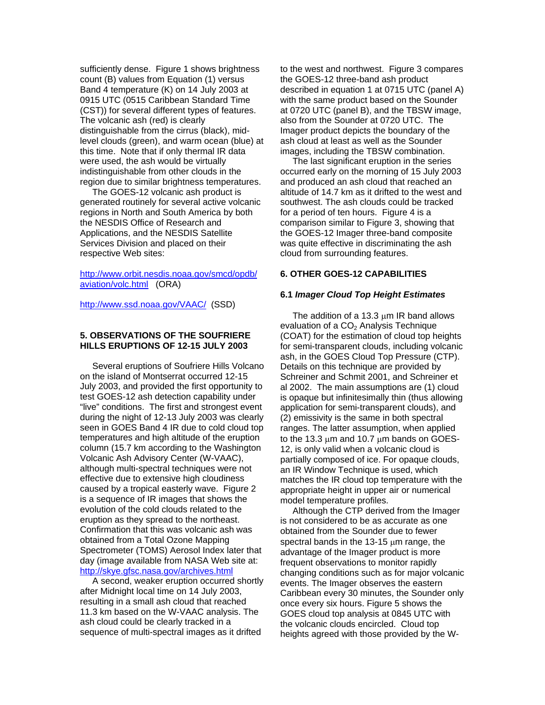sufficiently dense. Figure 1 shows brightness count (B) values from Equation (1) versus Band 4 temperature (K) on 14 July 2003 at 0915 UTC (0515 Caribbean Standard Time (CST)) for several different types of features. The volcanic ash (red) is clearly distinguishable from the cirrus (black), midlevel clouds (green), and warm ocean (blue) at this time. Note that if only thermal IR data were used, the ash would be virtually indistinguishable from other clouds in the region due to similar brightness temperatures.

 The GOES-12 volcanic ash product is generated routinely for several active volcanic regions in North and South America by both the NESDIS Office of Research and Applications, and the NESDIS Satellite Services Division and placed on their respective Web sites:

[http://www.orbit.nesdis.noaa.gov/smcd/opdb/](http://www.orbit.nesdis.noaa.gov/smcd/opdb/aviation/volc.html) [aviation/volc.html](http://www.orbit.nesdis.noaa.gov/smcd/opdb/aviation/volc.html) (ORA)

<http://www.ssd.noaa.gov/VAAC/>(SSD)

## **5. OBSERVATIONS OF THE SOUFRIERE HILLS ERUPTIONS OF 12-15 JULY 2003**

 Several eruptions of Soufriere Hills Volcano on the island of Montserrat occurred 12-15 July 2003, and provided the first opportunity to test GOES-12 ash detection capability under "live" conditions. The first and strongest event during the night of 12-13 July 2003 was clearly seen in GOES Band 4 IR due to cold cloud top temperatures and high altitude of the eruption column (15.7 km according to the Washington Volcanic Ash Advisory Center (W-VAAC), although multi-spectral techniques were not effective due to extensive high cloudiness caused by a tropical easterly wave. Figure 2 is a sequence of IR images that shows the evolution of the cold clouds related to the eruption as they spread to the northeast. Confirmation that this was volcanic ash was obtained from a Total Ozone Mapping Spectrometer (TOMS) Aerosol Index later that day (image available from NASA Web site at: <http://skye.gfsc.nasa.gov/archives.html>

 A second, weaker eruption occurred shortly after Midnight local time on 14 July 2003, resulting in a small ash cloud that reached 11.3 km based on the W-VAAC analysis. The ash cloud could be clearly tracked in a sequence of multi-spectral images as it drifted

to the west and northwest. Figure 3 compares the GOES-12 three-band ash product described in equation 1 at 0715 UTC (panel A) with the same product based on the Sounder at 0720 UTC (panel B), and the TBSW image, also from the Sounder at 0720 UTC. The Imager product depicts the boundary of the ash cloud at least as well as the Sounder images, including the TBSW combination.

 The last significant eruption in the series occurred early on the morning of 15 July 2003 and produced an ash cloud that reached an altitude of 14.7 km as it drifted to the west and southwest. The ash clouds could be tracked for a period of ten hours. Figure 4 is a comparison similar to Figure 3, showing that the GOES-12 Imager three-band composite was quite effective in discriminating the ash cloud from surrounding features.

# **6. OTHER GOES-12 CAPABILITIES**

## **6.1** *Imager Cloud Top Height Estimates*

The addition of a 13.3 um IR band allows evaluation of a  $CO<sub>2</sub>$  Analysis Technique (COAT) for the estimation of cloud top heights for semi-transparent clouds, including volcanic ash, in the GOES Cloud Top Pressure (CTP). Details on this technique are provided by Schreiner and Schmit 2001, and Schreiner et al 2002. The main assumptions are (1) cloud is opaque but infinitesimally thin (thus allowing application for semi-transparent clouds), and (2) emissivity is the same in both spectral ranges. The latter assumption, when applied to the 13.3 µm and 10.7 µm bands on GOES-12, is only valid when a volcanic cloud is partially composed of ice. For opaque clouds, an IR Window Technique is used, which matches the IR cloud top temperature with the appropriate height in upper air or numerical model temperature profiles.

 Although the CTP derived from the Imager is not considered to be as accurate as one obtained from the Sounder due to fewer spectral bands in the 13-15  $\mu$ m range, the advantage of the Imager product is more frequent observations to monitor rapidly changing conditions such as for major volcanic events. The Imager observes the eastern Caribbean every 30 minutes, the Sounder only once every six hours. Figure 5 shows the GOES cloud top analysis at 0845 UTC with the volcanic clouds encircled. Cloud top heights agreed with those provided by the W-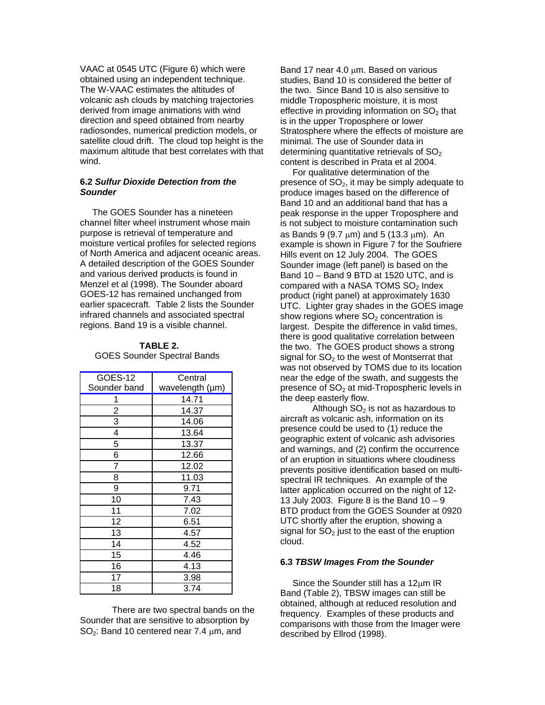VAAC at 0545 UTC (Figure 6) which were obtained using an independent technique. The W-VAAC estimates the altitudes of volcanic ash clouds by matching trajectories derived from image animations with wind direction and speed obtained from nearby radiosondes, numerical prediction models, or satellite cloud drift. The cloud top height is the maximum altitude that best correlates with that wind.

## **6.2** *Sulfur Dioxide Detection from the Sounder*

 The GOES Sounder has a nineteen channel filter wheel instrument whose main purpose is retrieval of temperature and moisture vertical profiles for selected regions of North America and adjacent oceanic areas. A detailed description of the GOES Sounder and various derived products is found in Menzel et al (1998). The Sounder aboard GOES-12 has remained unchanged from earlier spacecraft. Table 2 lists the Sounder infrared channels and associated spectral regions. Band 19 is a visible channel.

# **TABLE 2.**  GOES Sounder Spectral Bands

| <b>GOES-12</b> | Central         |  |
|----------------|-----------------|--|
| Sounder band   | wavelength (µm) |  |
|                | 14.71           |  |
| 2              | 14.37           |  |
| 3              | 14.06           |  |
| 4              | 13.64           |  |
| 5              | 13.37           |  |
| 6              | 12.66           |  |
| 7              | 12.02           |  |
| 8              | 11.03           |  |
| 9              | 9.71            |  |
| 10             | 7.43            |  |
| 11             | 7.02            |  |
| 12             | 6.51            |  |
| 13             | 4.57            |  |
| 14             | 4.52            |  |
| 15             | 4.46            |  |
| 16             | 4.13            |  |
| 17             | 3.98            |  |
| 18             | 3.74            |  |

 There are two spectral bands on the Sounder that are sensitive to absorption by  $SO<sub>2</sub>$ : Band 10 centered near 7.4  $\mu$ m, and

Band 17 near 4.0 um. Based on various studies, Band 10 is considered the better of the two. Since Band 10 is also sensitive to middle Tropospheric moisture, it is most effective in providing information on  $SO<sub>2</sub>$  that is in the upper Troposphere or lower Stratosphere where the effects of moisture are minimal. The use of Sounder data in determining quantitative retrievals of  $SO<sub>2</sub>$ content is described in Prata et al 2004.

 For qualitative determination of the presence of  $SO<sub>2</sub>$ , it may be simply adequate to produce images based on the difference of Band 10 and an additional band that has a peak response in the upper Troposphere and is not subject to moisture contamination such as Bands 9 (9.7  $\mu$ m) and 5 (13.3  $\mu$ m). An example is shown in Figure 7 for the Soufriere Hills event on 12 July 2004. The GOES Sounder image (left panel) is based on the Band 10 – Band 9 BTD at 1520 UTC, and is compared with a NASA TOMS  $SO<sub>2</sub>$  Index product (right panel) at approximately 1630 UTC. Lighter gray shades in the GOES image show regions where  $SO<sub>2</sub>$  concentration is largest. Despite the difference in valid times, there is good qualitative correlation between the two. The GOES product shows a strong signal for  $SO<sub>2</sub>$  to the west of Montserrat that was not observed by TOMS due to its location near the edge of the swath, and suggests the presence of  $SO<sub>2</sub>$  at mid-Tropospheric levels in the deep easterly flow.

Although  $SO<sub>2</sub>$  is not as hazardous to aircraft as volcanic ash, information on its presence could be used to (1) reduce the geographic extent of volcanic ash advisories and warnings, and (2) confirm the occurrence of an eruption in situations where cloudiness prevents positive identification based on multispectral IR techniques. An example of the latter application occurred on the night of 12- 13 July 2003. Figure 8 is the Band  $10 - 9$ BTD product from the GOES Sounder at 0920 UTC shortly after the eruption, showing a signal for  $SO<sub>2</sub>$  just to the east of the eruption cloud.

#### **6.3** *TBSW Images From the Sounder*

Since the Sounder still has a 12µm IR Band (Table 2), TBSW images can still be obtained, although at reduced resolution and frequency. Examples of these products and comparisons with those from the Imager were described by Ellrod (1998).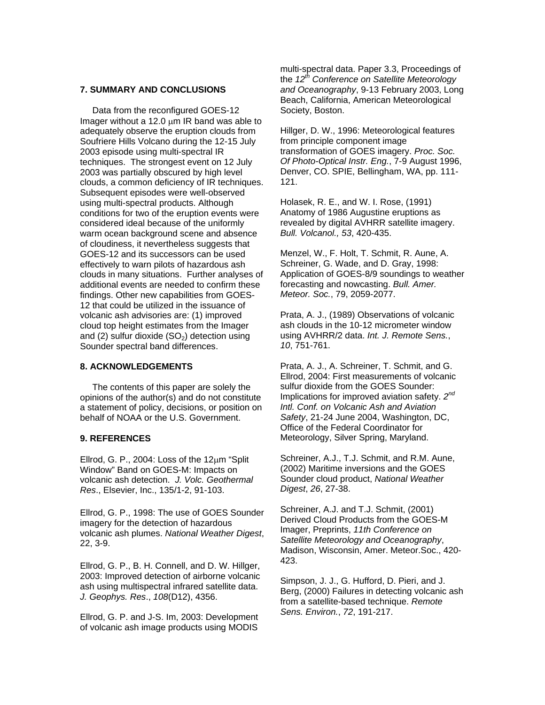#### **7. SUMMARY AND CONCLUSIONS**

 Data from the reconfigured GOES-12 Imager without a 12.0  $\mu$ m IR band was able to adequately observe the eruption clouds from Soufriere Hills Volcano during the 12-15 July 2003 episode using multi-spectral IR techniques. The strongest event on 12 July 2003 was partially obscured by high level clouds, a common deficiency of IR techniques. Subsequent episodes were well-observed using multi-spectral products. Although conditions for two of the eruption events were considered ideal because of the uniformly warm ocean background scene and absence of cloudiness, it nevertheless suggests that GOES-12 and its successors can be used effectively to warn pilots of hazardous ash clouds in many situations. Further analyses of additional events are needed to confirm these findings. Other new capabilities from GOES-12 that could be utilized in the issuance of volcanic ash advisories are: (1) improved cloud top height estimates from the Imager and (2) sulfur dioxide  $(SO<sub>2</sub>)$  detection using Sounder spectral band differences.

### **8. ACKNOWLEDGEMENTS**

 The contents of this paper are solely the opinions of the author(s) and do not constitute a statement of policy, decisions, or position on behalf of NOAA or the U.S. Government.

#### **9. REFERENCES**

Ellrod, G. P., 2004: Loss of the 12µm "Split Window" Band on GOES-M: Impacts on volcanic ash detection. *J. Volc. Geothermal Res*., Elsevier, Inc., 135/1-2, 91-103.

Ellrod, G. P., 1998: The use of GOES Sounder imagery for the detection of hazardous volcanic ash plumes. *National Weather Digest*, 22, 3-9.

Ellrod, G. P., B. H. Connell, and D. W. Hillger, 2003: Improved detection of airborne volcanic ash using multispectral infrared satellite data. *J. Geophys. Res*., *108*(D12), 4356.

Ellrod, G. P. and J-S. Im, 2003: Development of volcanic ash image products using MODIS

multi-spectral data. Paper 3.3, Proceedings of the *12th Conference on Satellite Meteorology and Oceanography*, 9-13 February 2003, Long Beach, California, American Meteorological Society, Boston.

Hillger, D. W., 1996: Meteorological features from principle component image transformation of GOES imagery. *Proc. Soc. Of Photo-Optical Instr. Eng.*, 7-9 August 1996, Denver, CO. SPIE, Bellingham, WA, pp. 111- 121.

Holasek, R. E., and W. I. Rose, (1991) Anatomy of 1986 Augustine eruptions as revealed by digital AVHRR satellite imagery. *Bull. Volcanol., 53*, 420-435.

Menzel, W., F. Holt, T. Schmit, R. Aune, A. Schreiner, G. Wade, and D. Gray, 1998: Application of GOES-8/9 soundings to weather forecasting and nowcasting. *Bull. Amer. Meteor. Soc.*, 79, 2059-2077.

Prata, A. J., (1989) Observations of volcanic ash clouds in the 10-12 micrometer window using AVHRR/2 data. *Int. J. Remote Sens.*, *10*, 751-761.

Prata, A. J., A. Schreiner, T. Schmit, and G. Ellrod, 2004: First measurements of volcanic sulfur dioxide from the GOES Sounder: Implications for improved aviation safety. *2nd Intl. Conf. on Volcanic Ash and Aviation Safety*, 21-24 June 2004, Washington, DC, Office of the Federal Coordinator for Meteorology, Silver Spring, Maryland.

Schreiner, A.J., T.J. Schmit, and R.M. Aune, (2002) Maritime inversions and the GOES Sounder cloud product, *National Weather Digest*, *26*, 27-38.

Schreiner, A.J. and T.J. Schmit, (2001) Derived Cloud Products from the GOES-M Imager, Preprints, *11th Conference on Satellite Meteorology and Oceanography*, Madison, Wisconsin, Amer. Meteor.Soc., 420- 423.

Simpson, J. J., G. Hufford, D. Pieri, and J. Berg, (2000) Failures in detecting volcanic ash from a satellite-based technique. *Remote Sens. Environ.*, *72*, 191-217.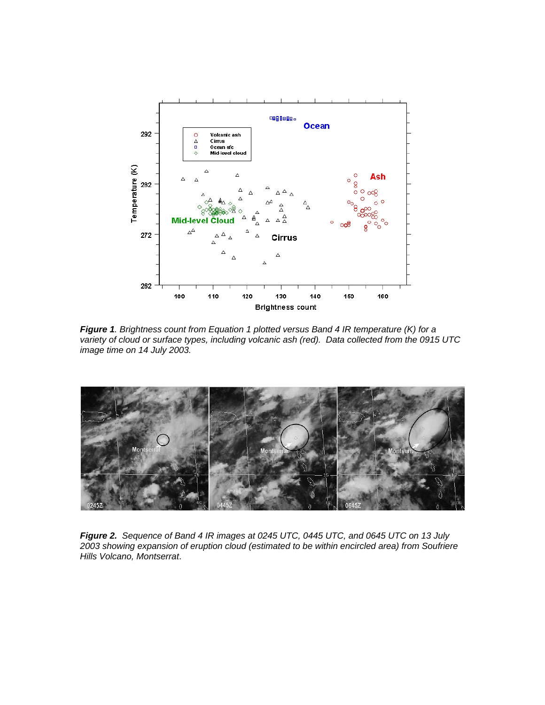

*Figure 1. Brightness count from Equation 1 plotted versus Band 4 IR temperature (K) for a variety of cloud or surface types, including volcanic ash (red). Data collected from the 0915 UTC image time on 14 July 2003.* 



*Figure 2. Sequence of Band 4 IR images at 0245 UTC, 0445 UTC, and 0645 UTC on 13 July 2003 showing expansion of eruption cloud (estimated to be within encircled area) from Soufriere Hills Volcano, Montserrat*.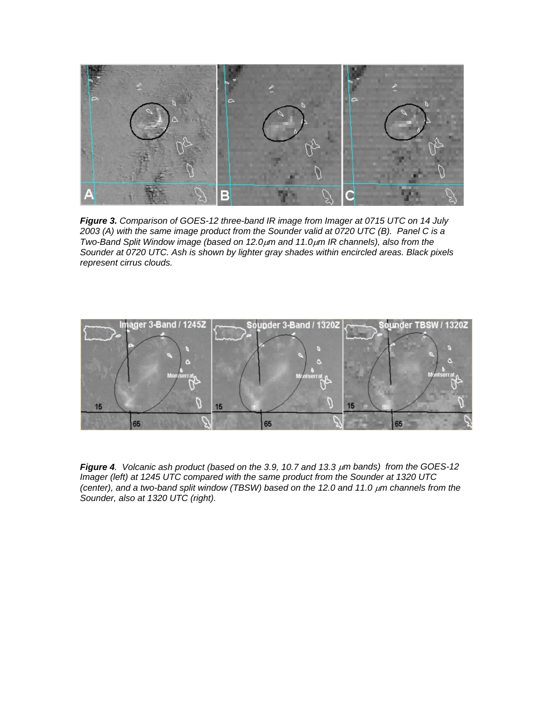

*Figure 3. Comparison of GOES-12 three-band IR image from Imager at 0715 UTC on 14 July 2003 (A) with the same image product from the Sounder valid at 0720 UTC (B). Panel C is a Two-Band Split Window image (based on 12.0*µ*m and 11.0*µ*m IR channels), also from the Sounder at 0720 UTC. Ash is shown by lighter gray shades within encircled areas. Black pixels represent cirrus clouds.* 



*Figure 4. Volcanic ash product (based on the 3.9, 10.7 and 13.3* µ*m bands) from the GOES-12 Imager (left) at 1245 UTC compared with the same product from the Sounder at 1320 UTC (center), and a two-band split window (TBSW) based on the 12.0 and 11.0 µm channels from the Sounder, also at 1320 UTC (right).*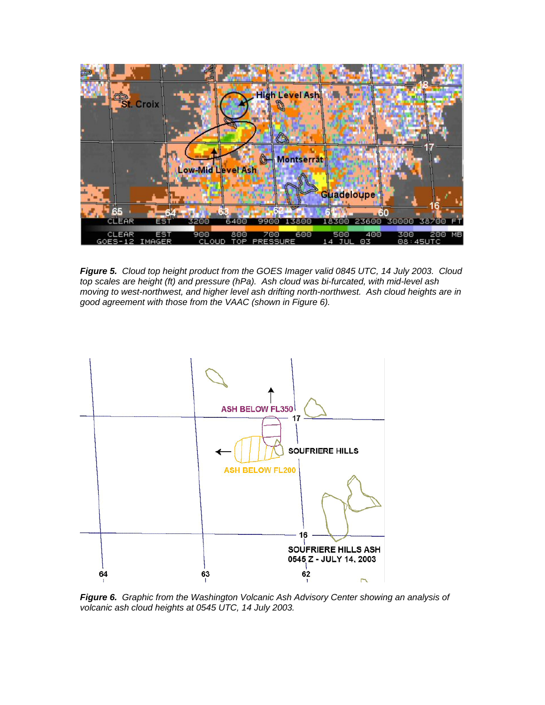

*Figure 5. Cloud top height product from the GOES Imager valid 0845 UTC, 14 July 2003. Cloud top scales are height (ft) and pressure (hPa). Ash cloud was bi-furcated, with mid-level ash moving to west-northwest, and higher level ash drifting north-northwest. Ash cloud heights are in good agreement with those from the VAAC (shown in Figure 6).* 



*Figure 6. Graphic from the Washington Volcanic Ash Advisory Center showing an analysis of volcanic ash cloud heights at 0545 UTC, 14 July 2003.*